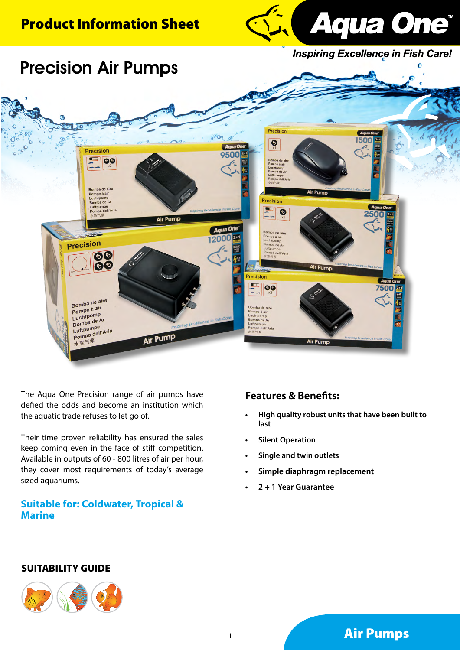# Product Information Sheet



**Inspiring Excellence in Fish Care!** 



The Aqua One Precision range of air pumps have defied the odds and become an institution which the aquatic trade refuses to let go of.

Their time proven reliability has ensured the sales keep coming even in the face of stiff competition. Available in outputs of 60 - 800 litres of air per hour, they cover most requirements of today's average sized aquariums.

## **Suitable for: Coldwater, Tropical & Marine**

## **Features & Benefits:**

- **• High quality robust units that have been built to last**
- **Silent Operation**
- **• Single and twin outlets**
- **• Simple diaphragm replacement**
- **• 2 + 1 Year Guarantee**

#### SUITABILITY GUIDE